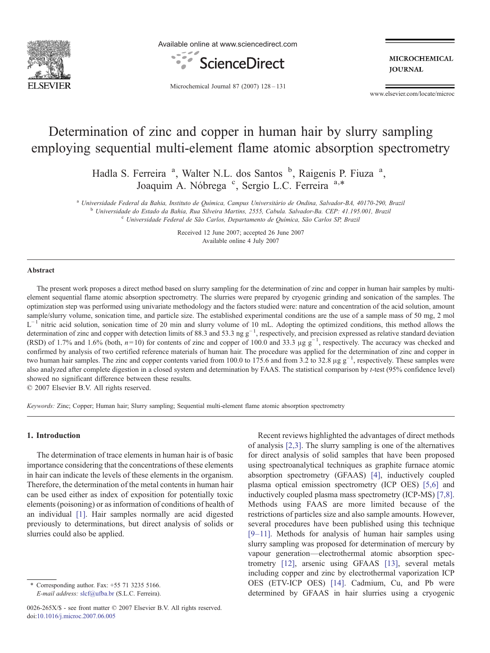

Available online at www.sciencedirect.com



**MICROCHEMICAL JOURNAL** 

Microchemical Journal 87 (2007) 128–131

www.elsevier.com/locate/microc

# Determination of zinc and copper in human hair by slurry sampling employing sequential multi-element flame atomic absorption spectrometry

Hadla S. Ferreira<sup>a</sup>, Walter N.L. dos Santos<sup>b</sup>, Raigenis P. Fiuza<sup>a</sup>, Joaquim A. Nóbrega <sup>c</sup>, Sergio L.C. Ferreira a,\*

<sup>a</sup> Universidade Federal da Bahia, Instituto de Química, Campus Universitário de Ondina, Salvador-BA, 40170-290, Brazil<br><sup>b</sup> Universidade do Estado da Bahia. Rua Silveira Martins. 2555. Cabula. Salvador-Ba. CEP: 41.195.001.

<sup>c</sup> Universidade Federal de São Carlos, Departamento de Química, São Carlos SP, Brazil

Received 12 June 2007; accepted 26 June 2007 Available online 4 July 2007

#### Abstract

The present work proposes a direct method based on slurry sampling for the determination of zinc and copper in human hair samples by multielement sequential flame atomic absorption spectrometry. The slurries were prepared by cryogenic grinding and sonication of the samples. The optimization step was performed using univariate methodology and the factors studied were: nature and concentration of the acid solution, amount sample/slurry volume, sonication time, and particle size. The established experimental conditions are the use of a sample mass of 50 mg, 2 mol  $L^{-1}$  nitric acid solution, sonication time of 20 min and slurry volume of 10 mL. Adopting the optimized conditions, this method allows the determination of zinc and copper with detection limits of 88.3 and 53.3 ng  $g^{-1}$ , respectively, and precision expressed as relative standard deviation (RSD) of 1.7% and 1.6% (both,  $n=10$ ) for contents of zinc and copper of 100.0 and 33.3 µg g<sup>-1</sup>, respectively. The accuracy was checked and confirmed by analysis of two certified reference materials of human hair. The procedure was applied for the determination of zinc and copper in two human hair samples. The zinc and copper contents varied from 100.0 to 175.6 and from 3.2 to 32.8 µg  $g^{-1}$ , respectively. These samples were also analyzed after complete digestion in a closed system and determination by FAAS. The statistical comparison by t-test (95% confidence level) showed no significant difference between these results.

© 2007 Elsevier B.V. All rights reserved.

Keywords: Zinc; Copper; Human hair; Slurry sampling; Sequential multi-element flame atomic absorption spectrometry

# 1. Introduction

The determination of trace elements in human hair is of basic importance considering that the concentrations of these elements in hair can indicate the levels of these elements in the organism. Therefore, the determination of the metal contents in human hair can be used either as index of exposition for potentially toxic elements (poisoning) or as information of conditions of health of an individual [\[1\].](#page-2-0) Hair samples normally are acid digested previously to determinations, but direct analysis of solids or slurries could also be applied.

Recent reviews highlighted the advantages of direct methods of analysis [\[2,3\]](#page-2-0). The slurry sampling is one of the alternatives for direct analysis of solid samples that have been proposed using spectroanalytical techniques as graphite furnace atomic absorption spectrometry (GFAAS) [\[4\],](#page-2-0) inductively coupled plasma optical emission spectrometry (ICP OES) [\[5,6\]](#page-3-0) and inductively coupled plasma mass spectrometry (ICP-MS) [\[7,8\]](#page-3-0). Methods using FAAS are more limited because of the restrictions of particles size and also sample amounts. However, several procedures have been published using this technique [9–[11\].](#page-3-0) Methods for analysis of human hair samples using slurry sampling was proposed for determination of mercury by vapour generation—electrothermal atomic absorption spectrometry [\[12\]](#page-3-0), arsenic using GFAAS [\[13\],](#page-3-0) several metals including copper and zinc by electrothermal vaporization ICP OES (ETV-ICP OES) [\[14\]](#page-3-0). Cadmium, Cu, and Pb were determined by GFAAS in hair slurries using a cryogenic

<sup>⁎</sup> Corresponding author. Fax: +55 71 3235 5166. E-mail address: [slcf@ufba.br](mailto:slcf@ufba.br) (S.L.C. Ferreira).

<sup>0026-265</sup>X/\$ - see front matter © 2007 Elsevier B.V. All rights reserved. doi:[10.1016/j.microc.2007.06.005](http://dx.doi.org/10.1016/j.microc.2007.06.005)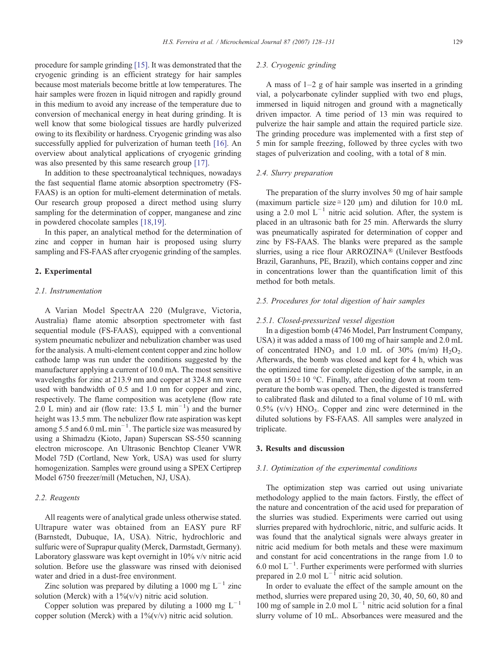procedure for sample grinding [\[15\].](#page-3-0) It was demonstrated that the cryogenic grinding is an efficient strategy for hair samples because most materials become brittle at low temperatures. The hair samples were frozen in liquid nitrogen and rapidly ground in this medium to avoid any increase of the temperature due to conversion of mechanical energy in heat during grinding. It is well know that some biological tissues are hardly pulverized owing to its flexibility or hardness. Cryogenic grinding was also successfully applied for pulverization of human teeth [\[16\].](#page-3-0) An overview about analytical applications of cryogenic grinding was also presented by this same research group [\[17\]](#page-3-0).

In addition to these spectroanalytical techniques, nowadays the fast sequential flame atomic absorption spectrometry (FS-FAAS) is an option for multi-element determination of metals. Our research group proposed a direct method using slurry sampling for the determination of copper, manganese and zinc in powdered chocolate samples [\[18,19\].](#page-3-0)

In this paper, an analytical method for the determination of zinc and copper in human hair is proposed using slurry sampling and FS-FAAS after cryogenic grinding of the samples.

#### 2. Experimental

## 2.1. Instrumentation

A Varian Model SpectrAA 220 (Mulgrave, Victoria, Australia) flame atomic absorption spectrometer with fast sequential module (FS-FAAS), equipped with a conventional system pneumatic nebulizer and nebulization chamber was used for the analysis. A multi-element content copper and zinc hollow cathode lamp was run under the conditions suggested by the manufacturer applying a current of 10.0 mA. The most sensitive wavelengths for zinc at 213.9 nm and copper at 324.8 nm were used with bandwidth of 0.5 and 1.0 nm for copper and zinc, respectively. The flame composition was acetylene (flow rate 2.0 L min) and air (flow rate: 13.5 L min<sup>-1</sup>) and the burner height was 13.5 mm. The nebulizer flow rate aspiration was kept among 5.5 and  $6.0 \text{ mL min}^{-1}$ . The particle size was measured by using a Shimadzu (Kioto, Japan) Superscan SS-550 scanning electron microscope. An Ultrasonic Benchtop Cleaner VWR Model 75D (Cortland, New York, USA) was used for slurry homogenization. Samples were ground using a SPEX Certiprep Model 6750 freezer/mill (Metuchen, NJ, USA).

## 2.2. Reagents

All reagents were of analytical grade unless otherwise stated. Ultrapure water was obtained from an EASY pure RF (Barnstedt, Dubuque, IA, USA). Nitric, hydrochloric and sulfuric were of Suprapur quality (Merck, Darmstadt, Germany). Laboratory glassware was kept overnight in 10% v/v nitric acid solution. Before use the glassware was rinsed with deionised water and dried in a dust-free environment.

Zinc solution was prepared by diluting a 1000 mg  $L^{-1}$  zinc solution (Merck) with a  $1\frac{1}{100}$  v/v) nitric acid solution.

Copper solution was prepared by diluting a 1000 mg  $L^{-1}$ copper solution (Merck) with a  $1\frac{%}{%}$  v/v) nitric acid solution.

## 2.3. Cryogenic grinding

A mass of  $1-2$  g of hair sample was inserted in a grinding vial, a polycarbonate cylinder supplied with two end plugs, immersed in liquid nitrogen and ground with a magnetically driven impactor. A time period of 13 min was required to pulverize the hair sample and attain the required particle size. The grinding procedure was implemented with a first step of 5 min for sample freezing, followed by three cycles with two stages of pulverization and cooling, with a total of 8 min.

#### 2.4. Slurry preparation

The preparation of the slurry involves 50 mg of hair sample (maximum particle size  $\approx$  120 μm) and dilution for 10.0 mL using a 2.0 mol  $L^{-1}$  nitric acid solution. After, the system is placed in an ultrasonic bath for 25 min. Afterwards the slurry was pneumatically aspirated for determination of copper and zinc by FS-FAAS. The blanks were prepared as the sample slurries, using a rice flour ARROZINA® (Unilever Bestfoods Brazil, Garanhuns, PE, Brazil), which contains copper and zinc in concentrations lower than the quantification limit of this method for both metals.

## 2.5. Procedures for total digestion of hair samples

#### 2.5.1. Closed-pressurized vessel digestion

In a digestion bomb (4746 Model, Parr Instrument Company, USA) it was added a mass of 100 mg of hair sample and 2.0 mL of concentrated HNO<sub>3</sub> and 1.0 mL of  $30\%$  (m/m) H<sub>2</sub>O<sub>2</sub>. Afterwards, the bomb was closed and kept for 4 h, which was the optimized time for complete digestion of the sample, in an oven at  $150 \pm 10$  °C. Finally, after cooling down at room temperature the bomb was opened. Then, the digested is transferred to calibrated flask and diluted to a final volume of 10 mL with  $0.5\%$  (v/v) HNO<sub>3</sub>. Copper and zinc were determined in the diluted solutions by FS-FAAS. All samples were analyzed in triplicate.

## 3. Results and discussion

#### 3.1. Optimization of the experimental conditions

The optimization step was carried out using univariate methodology applied to the main factors. Firstly, the effect of the nature and concentration of the acid used for preparation of the slurries was studied. Experiments were carried out using slurries prepared with hydrochloric, nitric, and sulfuric acids. It was found that the analytical signals were always greater in nitric acid medium for both metals and these were maximum and constant for acid concentrations in the range from 1.0 to 6.0 mol L−<sup>1</sup> . Further experiments were performed with slurries prepared in 2.0 mol  $L^{-1}$  nitric acid solution.

In order to evaluate the effect of the sample amount on the method, slurries were prepared using 20, 30, 40, 50, 60, 80 and 100 mg of sample in 2.0 mol  $L^{-1}$  nitric acid solution for a final slurry volume of 10 mL. Absorbances were measured and the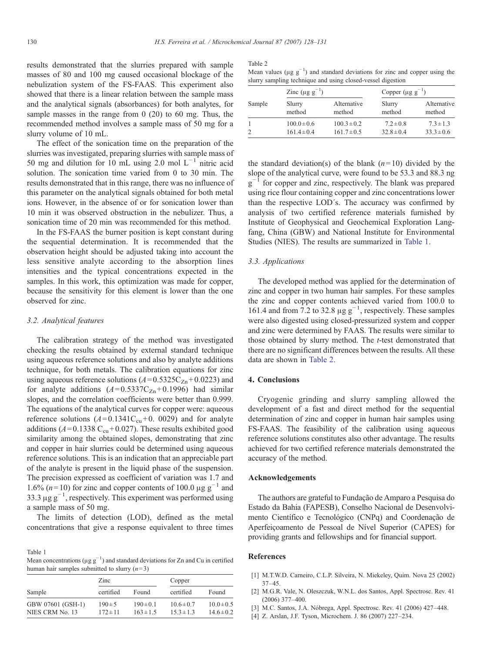<span id="page-2-0"></span>results demonstrated that the slurries prepared with sample masses of 80 and 100 mg caused occasional blockage of the nebulization system of the FS-FAAS. This experiment also showed that there is a linear relation between the sample mass and the analytical signals (absorbances) for both analytes, for sample masses in the range from 0 (20) to 60 mg. Thus, the recommended method involves a sample mass of 50 mg for a slurry volume of 10 mL.

The effect of the sonication time on the preparation of the slurries was investigated, preparing slurries with sample mass of 50 mg and dilution for 10 mL using 2.0 mol L−<sup>1</sup> nitric acid solution. The sonication time varied from 0 to 30 min. The results demonstrated that in this range, there was no influence of this parameter on the analytical signals obtained for both metal ions. However, in the absence of or for sonication lower than 10 min it was observed obstruction in the nebulizer. Thus, a sonication time of 20 min was recommended for this method.

In the FS-FAAS the burner position is kept constant during the sequential determination. It is recommended that the observation height should be adjusted taking into account the less sensitive analyte according to the absorption lines intensities and the typical concentrations expected in the samples. In this work, this optimization was made for copper, because the sensitivity for this element is lower than the one observed for zinc.

#### 3.2. Analytical features

The calibration strategy of the method was investigated checking the results obtained by external standard technique using aqueous reference solutions and also by analyte additions technique, for both metals. The calibration equations for zinc using aqueous reference solutions ( $A = 0.5325C_{Zn} + 0.0223$ ) and for analyte additions  $(A= 0.5337C_{Zn} + 0.1996)$  had similar slopes, and the correlation coefficients were better than 0.999. The equations of the analytical curves for copper were: aqueous reference solutions  $(A=0.1341C_{cu}+0.0029)$  and for analyte additions ( $A = 0.1338$  C<sub>cu</sub> + 0.027). These results exhibited good similarity among the obtained slopes, demonstrating that zinc and copper in hair slurries could be determined using aqueous reference solutions. This is an indication that an appreciable part of the analyte is present in the liquid phase of the suspension. The precision expressed as coefficient of variation was 1.7 and 1.6% ( $n=10$ ) for zinc and copper contents of 100.0  $\mu$ g g<sup>-1</sup> and 33.3  $\mu$ g g<sup>-1</sup>, respectively. This experiment was performed using a sample mass of 50 mg.

The limits of detection (LOD), defined as the metal concentrations that give a response equivalent to three times

Table 1 Mean concentrations ( $\mu$ g g<sup>-1</sup>) and standard deviations for Zn and Cu in certified human hair samples submitted to slurry  $(n=3)$ 

|                   | Zinc         |               | Copper         |                |
|-------------------|--------------|---------------|----------------|----------------|
| Sample            | certified    | Found         | certified      | Found          |
| GBW 07601 (GSH-1) | $190 \pm 5$  | $190 \pm 0.1$ | $10.6 \pm 0.7$ | $10.0 \pm 0.5$ |
| NIES CRM No. 13   | $172 \pm 11$ | $163 \pm 1.5$ | $15.3 \pm 1.3$ | $14.6 \pm 0.2$ |

| татн |  |
|------|--|
|------|--|

|                                                             | Mean values ( $\mu$ g g <sup>-1</sup> ) and standard deviations for zinc and copper using the |
|-------------------------------------------------------------|-----------------------------------------------------------------------------------------------|
| slurry sampling technique and using closed-vessel digestion |                                                                                               |

|        | Zinc ( $\mu$ g g <sup>-1</sup> ) |                 | Copper $(\mu g g^{-1})$ |                |
|--------|----------------------------------|-----------------|-------------------------|----------------|
| Sample | Slurry                           | Alternative     | Slurry                  | Alternative    |
|        | method                           | method          | method                  | method         |
|        | $100.0 \pm 0.6$                  | $100.3 \pm 0.2$ | $7.2 \pm 0.8$           | $7.3 \pm 1.3$  |
|        | $161.4 \pm 0.4$                  | $161.7 \pm 0.5$ | $32.8 \pm 0.4$          | $33.3 \pm 0.6$ |

the standard deviation(s) of the blank  $(n=10)$  divided by the slope of the analytical curve, were found to be 53.3 and 88.3 ng  $g^{-1}$  for copper and zinc, respectively. The blank was prepared using rice flour containing copper and zinc concentrations lower than the respective LOD´s. The accuracy was confirmed by analysis of two certified reference materials furnished by Institute of Geophysical and Geochemical Exploration Langfang, China (GBW) and National Institute for Environmental Studies (NIES). The results are summarized in Table 1.

## 3.3. Applications

The developed method was applied for the determination of zinc and copper in two human hair samples. For these samples the zinc and copper contents achieved varied from 100.0 to 161.4 and from 7.2 to 32.8  $\mu$ g g<sup>-1</sup>, respectively. These samples were also digested using closed-pressurized system and copper and zinc were determined by FAAS. The results were similar to those obtained by slurry method. The *t*-test demonstrated that there are no significant differences between the results. All these data are shown in Table 2.

## 4. Conclusions

Cryogenic grinding and slurry sampling allowed the development of a fast and direct method for the sequential determination of zinc and copper in human hair samples using FS-FAAS. The feasibility of the calibration using aqueous reference solutions constitutes also other advantage. The results achieved for two certified reference materials demonstrated the accuracy of the method.

#### Acknowledgements

The authors are grateful to Fundação de Amparo a Pesquisa do Estado da Bahia (FAPESB), Conselho Nacional de Desenvolvimento Científico e Tecnológico (CNPq) and Coordenação de Aperfeiçoamento de Pessoal de Nível Superior (CAPES) for providing grants and fellowships and for financial support.

#### References

- [1] M.T.W.D. Carneiro, C.L.P. Silveira, N. Miekeley, Quim. Nova 25 (2002) 37–45.
- [2] M.G.R. Vale, N. Oleszczuk, W.N.L. dos Santos, Appl. Spectrosc. Rev. 41 (2006) 377–400.
- [3] M.C. Santos, J.A. Nóbrega, Appl. Spectrosc. Rev. 41 (2006) 427–448.
- [4] Z. Arslan, J.F. Tyson, Microchem. J. 86 (2007) 227–234.